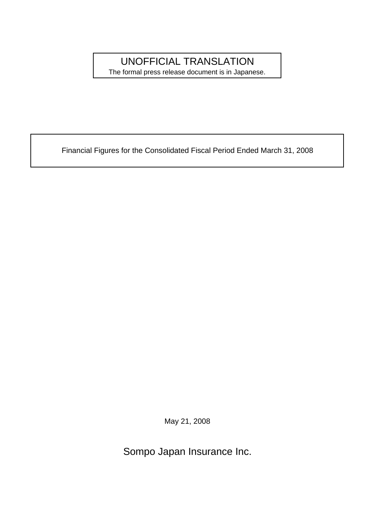## UNOFFICIAL TRANSLATION

The formal press release document is in Japanese.

Financial Figures for the Consolidated Fiscal Period Ended March 31, 2008

May 21, 2008

Sompo Japan Insurance Inc.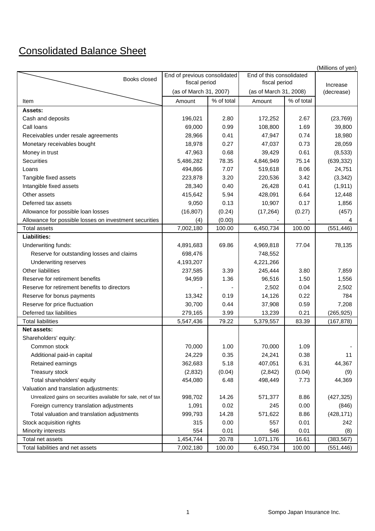## Consolidated Balance Sheet

|                                                               |                              |            |                          |            | (Millions of yen) |
|---------------------------------------------------------------|------------------------------|------------|--------------------------|------------|-------------------|
| Books closed                                                  | End of previous consolidated |            | End of this consolidated |            |                   |
|                                                               | fiscal period                |            | fiscal period            |            | Increase          |
|                                                               | (as of March 31, 2007)       |            | (as of March 31, 2008)   |            | (decrease)        |
| Item                                                          | Amount                       | % of total | Amount                   | % of total |                   |
| <b>Assets:</b>                                                |                              |            |                          |            |                   |
| Cash and deposits                                             | 196,021                      | 2.80       | 172,252                  | 2.67       | (23, 769)         |
| Call loans                                                    | 69,000                       | 0.99       | 108,800                  | 1.69       | 39,800            |
| Receivables under resale agreements                           | 28,966                       | 0.41       | 47,947                   | 0.74       | 18,980            |
| Monetary receivables bought                                   | 18,978                       | 0.27       | 47,037                   | 0.73       | 28,059            |
| Money in trust                                                | 47,963                       | 0.68       | 39,429                   | 0.61       | (8,533)           |
| Securities                                                    | 5,486,282                    | 78.35      | 4,846,949                | 75.14      | (639, 332)        |
| Loans                                                         | 494,866                      | 7.07       | 519,618                  | 8.06       | 24,751            |
| Tangible fixed assets                                         | 223,878                      | 3.20       | 220,536                  | 3.42       | (3,342)           |
| Intangible fixed assets                                       | 28,340                       | 0.40       | 26,428                   | 0.41       | (1, 911)          |
| Other assets                                                  | 415,642                      | 5.94       | 428,091                  | 6.64       | 12,448            |
| Deferred tax assets                                           | 9,050                        | 0.13       | 10,907                   | 0.17       | 1,856             |
| Allowance for possible loan losses                            | (16, 807)                    | (0.24)     | (17, 264)                | (0.27)     | (457)             |
| Allowance for possible losses on investment securities        | (4)                          | (0.00)     |                          |            | 4                 |
| <b>Total assets</b>                                           | 7,002,180                    | 100.00     | 6,450,734                | 100.00     | (551, 446)        |
| <b>Liabilities:</b>                                           |                              |            |                          |            |                   |
| Underwriting funds:                                           | 4,891,683                    | 69.86      | 4,969,818                | 77.04      | 78,135            |
| Reserve for outstanding losses and claims                     | 698,476                      |            | 748,552                  |            |                   |
| Underwriting reserves                                         | 4,193,207                    |            | 4,221,266                |            |                   |
| <b>Other liabilities</b>                                      | 237,585                      | 3.39       | 245,444                  | 3.80       | 7,859             |
| Reserve for retirement benefits                               | 94,959                       | 1.36       | 96,516                   | 1.50       | 1,556             |
| Reserve for retirement benefits to directors                  |                              |            | 2,502                    | 0.04       | 2,502             |
| Reserve for bonus payments                                    | 13,342                       | 0.19       | 14,126                   | 0.22       | 784               |
| Reserve for price fluctuation                                 | 30,700                       | 0.44       | 37,908                   | 0.59       | 7,208             |
| Deferred tax liabilities                                      | 279,165                      | 3.99       | 13,239                   | 0.21       | (265, 925)        |
| <b>Total liabilities</b>                                      | 5,547,436                    | 79.22      | 5,379,557                | 83.39      | (167, 878)        |
| <b>Net assets:</b>                                            |                              |            |                          |            |                   |
| Shareholders' equity:                                         |                              |            |                          |            |                   |
| Common stock                                                  | 70,000                       | 1.00       | 70,000                   | 1.09       |                   |
| Additional paid-in capital                                    | 24,229                       | 0.35       | 24,241                   | 0.38       | 11                |
| Retained earnings                                             | 362,683                      | 5.18       | 407,051                  | 6.31       | 44,367            |
| Treasury stock                                                | (2,832)                      | (0.04)     | (2,842)                  | (0.04)     | (9)               |
| Total shareholders' equity                                    | 454,080                      | 6.48       | 498,449                  | 7.73       | 44,369            |
| Valuation and translation adjustments:                        |                              |            |                          |            |                   |
| Unrealized gains on securities available for sale, net of tax | 998,702                      | 14.26      | 571,377                  | 8.86       | (427, 325)        |
| Foreign currency translation adjustments                      | 1,091                        | 0.02       | 245                      | 0.00       | (846)             |
| Total valuation and translation adjustments                   | 999,793                      | 14.28      | 571,622                  | 8.86       | (428, 171)        |
| Stock acquisition rights                                      | 315                          | 0.00       | 557                      | 0.01       | 242               |
| Minority interests                                            | 554                          | 0.01       | 546                      | 0.01       | (8)               |
| Total net assets                                              | 1,454,744                    | 20.78      | 1,071,176                | 16.61      | (383, 567)        |
| Total liabilities and net assets                              | 7,002,180                    | 100.00     | 6,450,734                | 100.00     | (551, 446)        |